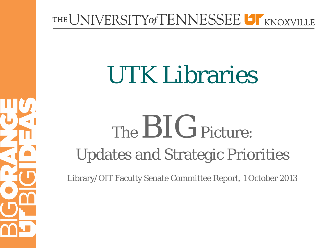#### THE UNIVERSITY of TENNESSEE UT KNOXVILLE

# UTK Libraries

# The  $BIG$  Picture: Updates and Strategic Priorities

ŀ

Library/OIT Faculty Senate Committee Report, 1 October 2013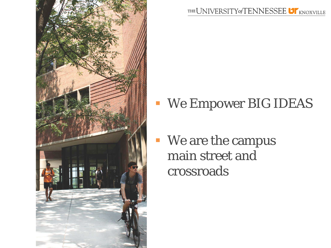

THE UNIVERSITY of TENNESSEE **UT** KNOXVILLE

- We Empower BIG IDEAS
- **We are the campus** main street and crossroads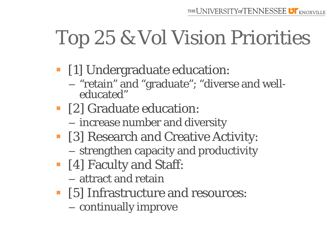# Top 25 & Vol Vision Priorities

- **•** [1] Undergraduate education:
	- "retain" and "graduate"; "diverse and well- educated"
- [2] Graduate education:
	- increase number and diversity
- [3] Research and Creative Activity:
	- strengthen capacity and productivity
- [4] Faculty and Staff:
	- attract and retain
- [5] Infrastructure and resources:
	- continually improve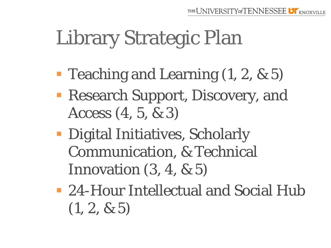# Library Strategic Plan

- **Teaching and Learning (1, 2, & 5)**
- **Research Support, Discovery, and** Access (4, 5, & 3)
- **Digital Initiatives, Scholarly** Communication, & Technical Innovation  $(3, 4, \& 5)$
- 24-Hour Intellectual and Social Hub  $(1, 2, \& 5)$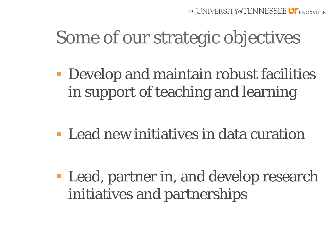#### Some of our strategic objectives

**• Develop and maintain robust facilities** in support of teaching and learning

**Lead new initiatives in data curation** 

**Lead, partner in, and develop research** initiatives and partnerships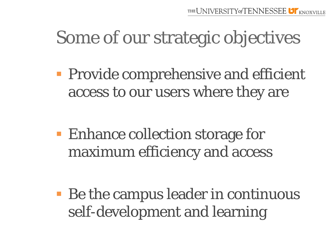#### Some of our strategic objectives

**Provide comprehensive and efficient** access to our users where they are

**Enhance collection storage for** maximum efficiency and access

■ Be the campus leader in continuous self-development and learning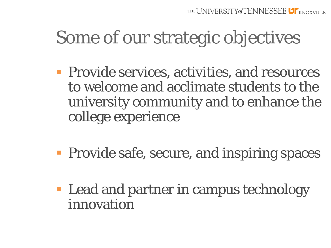#### Some of our strategic objectives

- **Provide services, activities, and resources** to welcome and acclimate students to the university community and to enhance the college experience
- **Provide safe, secure, and inspiring spaces**
- **Lead and partner in campus technology** innovation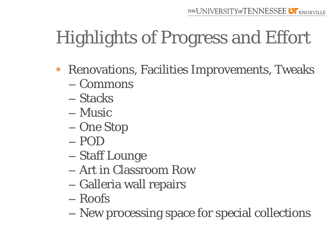- **Renovations, Facilities Improvements, Tweaks** 
	- Commons
	- Stacks
	- Music
	- One Stop
	- POD
	- Staff Lounge
	- Art in Classroom Row
	- Galleria wall repairs
	- Roofs
	- New processing space for special collections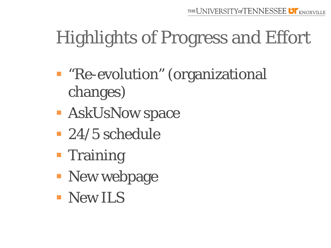- "Re-evolution" (organizational changes)
- **BEASK LIGINOW Space**
- 24/5 schedule
- **Training**
- **New webpage**
- **New ILS**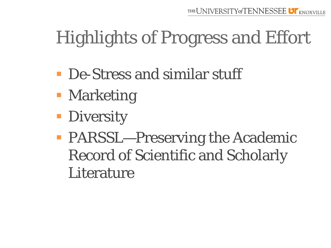- **De-Stress and similar stuff**
- **Marketing**
- **Diversity**
- **PARSSL—Preserving the Academic** Record of Scientific and Scholarly **Literature**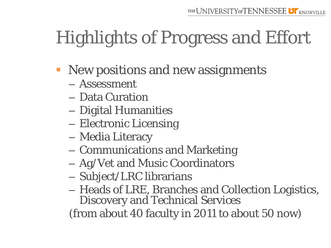- New positions and new assignments
	- Assessment
	- Data Curation
	- Digital Humanities
	- Electronic Licensing
	- Media Literacy
	- Communications and Marketing
	- Ag/Vet and Music Coordinators
	- Subject/LRC librarians
	- Heads of LRE, Branches and Collection Logistics, Discovery and Technical Services

(from about 40 faculty in 2011 to about 50 now)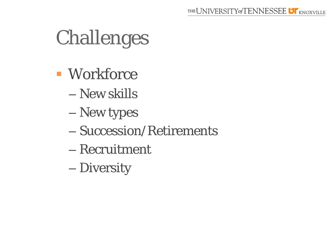# Challenges

- Workforce
	- New skills
	- New types
	- Succession/Retirements
	- Recruitment
	- Diversity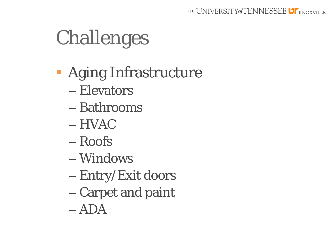# Challenges

- **Aging Infrastructure** 
	- Elevators
	- Bathrooms
	- HVAC
	- Roofs
	- Windows
	- Entry/Exit doors
	- Carpet and paint
	- ADA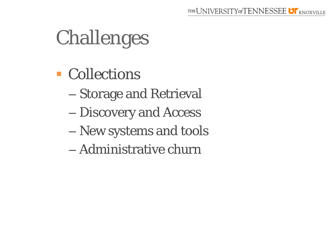# Challenges

- **Collections** 
	- Storage and Retrieval
	- Discovery and Access
	- New systems and tools
	- Administrative churn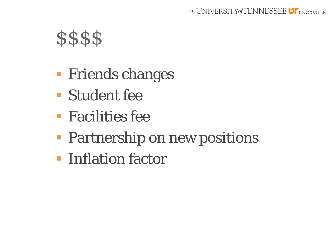#### **\$\$\$\$**

- **Firical External Friends changes**
- Student fee
- **Facilities fee**
- **Partnership on new positions**
- **Inflation factor**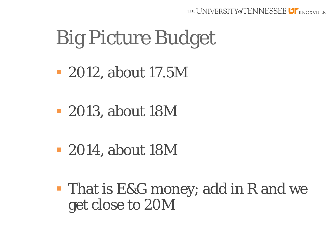### Big Picture Budget

- 2012, about 17.5M
- 2013, about 18M
- 2014, about 18M
- **That is E&G money; add in R and we** get close to 20M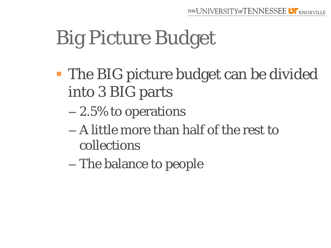# Big Picture Budget

- **The BIG picture budget can be divided** into 3 BIG parts
	- 2.5% to operations
	- A little more than half of the rest to collections
	- The balance to people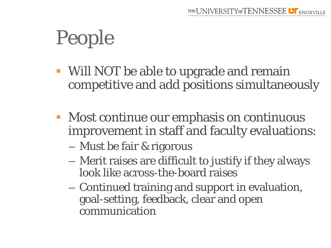# People

- Will NOT be able to upgrade and remain competitive and add positions simultaneously
- **Most continue our emphasis on continuous** improvement in staff and faculty evaluations:
	- Must be fair & rigorous
	- Merit raises are difficult to justify if they always look like across-the-board raises
	- Continued training and support in evaluation, goal-setting, feedback, clear and open communication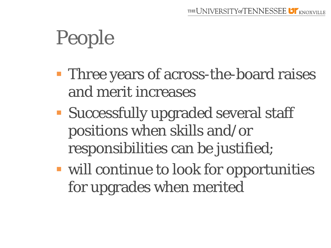# People

- **Three years of across-the-board raises** and merit increases
- **Successfully upgraded several staff** positions when skills and/or responsibilities can be justified;
- will continue to look for opportunities for upgrades when merited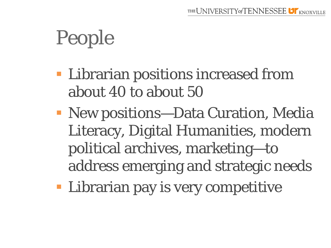# People

- **EXTERN EXECUTE:** Librarian positions increased from about 40 to about 50
- New positions—Data Curation, Media Literacy, Digital Humanities, modern political archives, marketing—to address emerging and strategic needs
- **Librarian pay is very competitive**